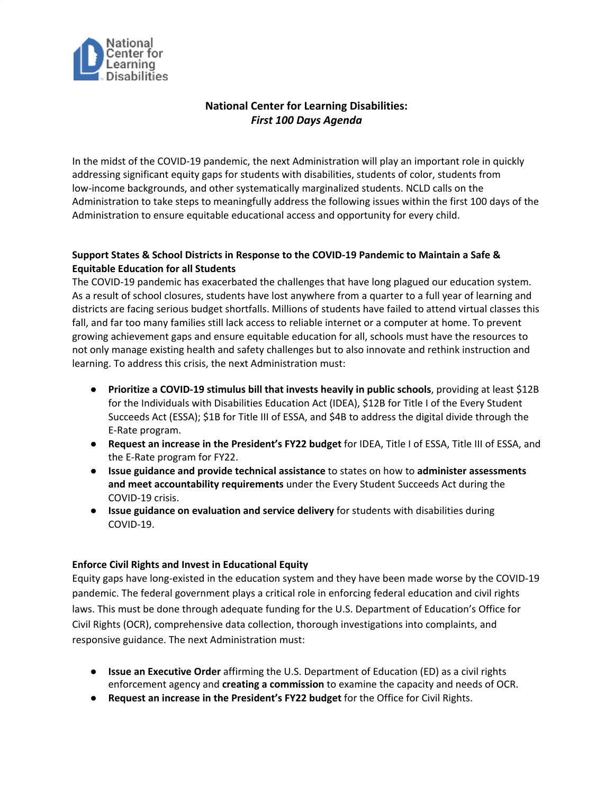

# **National Center for Learning Disabilities:** *First 100 Days Agenda*

In the midst of the COVID-19 pandemic, the next Administration will play an important role in quickly addressing significant equity gaps for students with disabilities, students of color, students from low-income backgrounds, and other systematically marginalized students. NCLD calls on the Administration to take steps to meaningfully address the following issues within the first 100 days of the Administration to ensure equitable educational access and opportunity for every child.

### **Support States & School Districts in Response to the COVID-19 Pandemic to Maintain a Safe & Equitable Education for all Students**

The COVID-19 pandemic has exacerbated the challenges that have long plagued our education system. As a result of school closures, students have lost anywhere from a quarter to a full year of learning and districts are facing serious budget shortfalls. Millions of students have failed to attend virtual classes this fall, and far too many families still lack access to reliable internet or a computer at home. To prevent growing achievement gaps and ensure equitable education for all, schools must have the resources to not only manage existing health and safety challenges but to also innovate and rethink instruction and learning. To address this crisis, the next Administration must:

- **Prioritize a COVID-19 stimulus bill that invests heavily in public schools**, providing at least \$12B for the Individuals with Disabilities Education Act (IDEA), \$12B for Title I of the Every Student Succeeds Act (ESSA); \$1B for Title III of ESSA, and \$4B to address the digital divide through the E-Rate program.
- **Request an increase in the President's FY22 budget** for IDEA, Title I of ESSA, Title III of ESSA, and the E-Rate program for FY22.
- **Issue guidance and provide technical assistance** to states on how to **administer assessments and meet accountability requirements** under the Every Student Succeeds Act during the COVID-19 crisis.
- **Issue guidance on evaluation and service delivery** for students with disabilities during COVID-19.

#### **Enforce Civil Rights and Invest in Educational Equity**

Equity gaps have long-existed in the education system and they have been made worse by the COVID-19 pandemic. The federal government plays a critical role in enforcing federal education and civil rights laws. This must be done through adequate funding for the U.S. Department of Education's Office for Civil Rights (OCR), comprehensive data collection, thorough investigations into complaints, and responsive guidance. The next Administration must:

- **Issue an Executive Order** affirming the U.S. Department of Education (ED) as a civil rights enforcement agency and **creating a commission** to examine the capacity and needs of OCR.
- **Request an increase in the President's FY22 budget** for the Office for Civil Rights.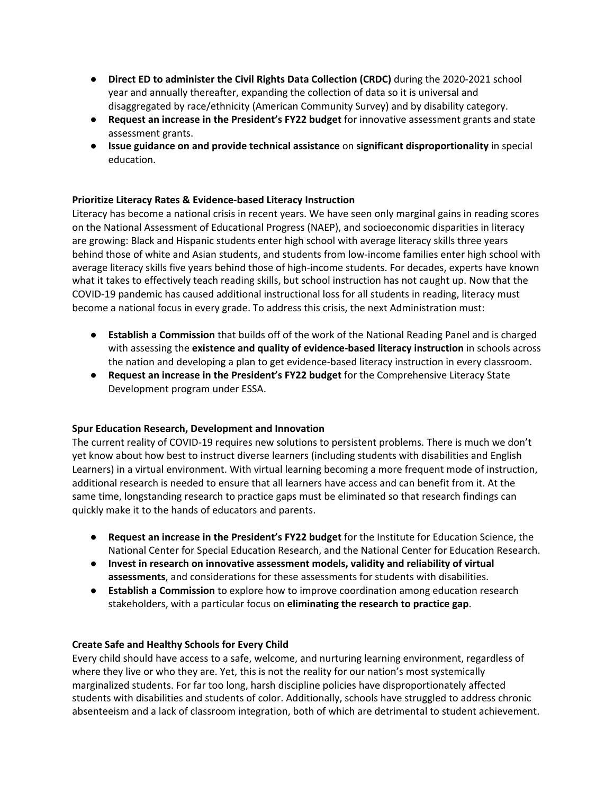- **Direct ED to administer the Civil Rights Data Collection (CRDC)** during the 2020-2021 school year and annually thereafter, expanding the collection of data so it is universal and disaggregated by race/ethnicity (American Community Survey) and by disability category.
- **Request an increase in the President's FY22 budget** for innovative assessment grants and state assessment grants.
- **Issue guidance on and provide technical assistance** on **significant disproportionality** in special education.

### **Prioritize Literacy Rates & Evidence-based Literacy Instruction**

Literacy has become a national crisis in recent years. We have seen only marginal gains in reading scores on the National Assessment of Educational Progress (NAEP), and socioeconomic disparities in literacy are growing: Black and Hispanic students enter high school with average literacy skills three years behind those of white and Asian students, and students from low-income families enter high school with average literacy skills five years behind those of high-income students. For decades, experts have known what it takes to effectively teach reading skills, but school instruction has not caught up. Now that the COVID-19 pandemic has caused additional instructional loss for all students in reading, literacy must become a national focus in every grade. To address this crisis, the next Administration must:

- **Establish a Commission** that builds off of the work of the National Reading Panel and is charged with assessing the **existence and quality of evidence-based literacy instruction** in schools across the nation and developing a plan to get evidence-based literacy instruction in every classroom.
- **Request an increase in the President's FY22 budget** for the Comprehensive Literacy State Development program under ESSA.

#### **Spur Education Research, Development and Innovation**

The current reality of COVID-19 requires new solutions to persistent problems. There is much we don't yet know about how best to instruct diverse learners (including students with disabilities and English Learners) in a virtual environment. With virtual learning becoming a more frequent mode of instruction, additional research is needed to ensure that all learners have access and can benefit from it. At the same time, longstanding research to practice gaps must be eliminated so that research findings can quickly make it to the hands of educators and parents.

- **Request an increase in the President's FY22 budget** for the Institute for Education Science, the National Center for Special Education Research, and the National Center for Education Research.
- **Invest in research on innovative assessment models, validity and reliability of virtual assessments**, and considerations for these assessments for students with disabilities.
- **Establish a Commission** to explore how to improve coordination among education research stakeholders, with a particular focus on **eliminating the research to practice gap**.

#### **Create Safe and Healthy Schools for Every Child**

Every child should have access to a safe, welcome, and nurturing learning environment, regardless of where they live or who they are. Yet, this is not the reality for our nation's most systemically marginalized students. For far too long, harsh discipline policies have disproportionately affected students with disabilities and students of color. Additionally, schools have struggled to address chronic absenteeism and a lack of classroom integration, both of which are detrimental to student achievement.